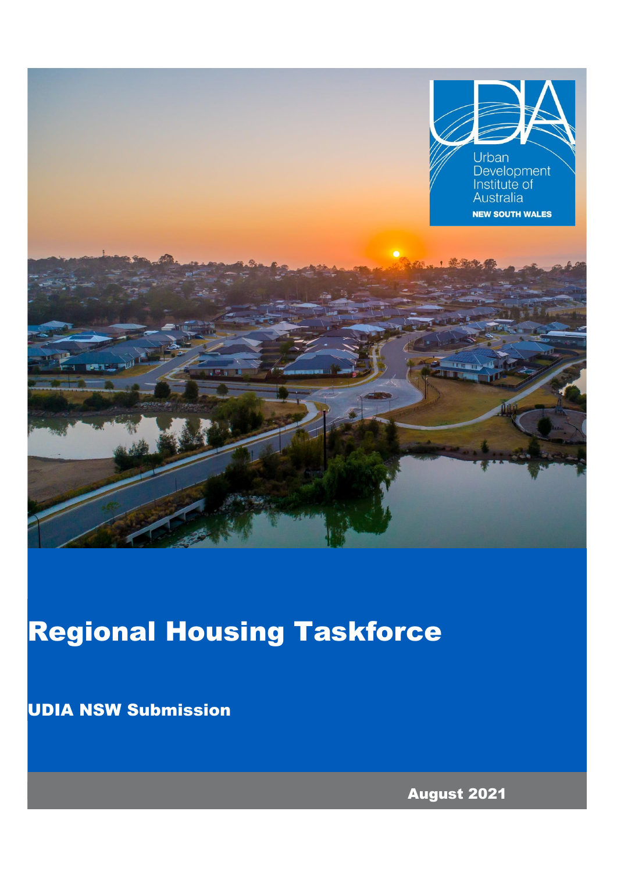

# Regional Housing Taskforce

UDIA NSW Submission

August 2021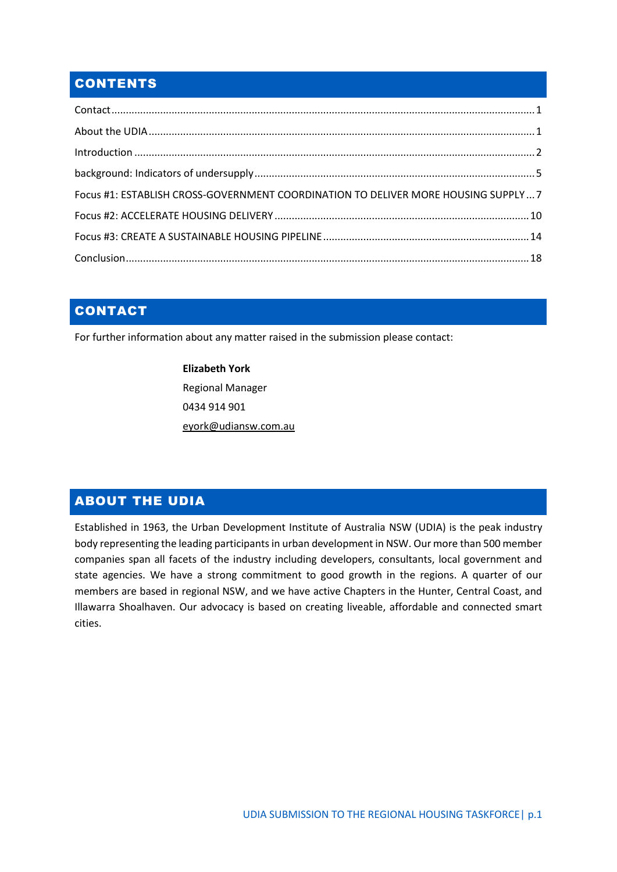## **CONTENTS**

| Focus #1: ESTABLISH CROSS-GOVERNMENT COORDINATION TO DELIVER MORE HOUSING SUPPLY7 |  |
|-----------------------------------------------------------------------------------|--|
|                                                                                   |  |
|                                                                                   |  |
|                                                                                   |  |

## CONTACT

For further information about any matter raised in the submission please contact:

**Elizabeth York** Regional Manager 0434 914 901 [eyork@udiansw.com.au](mailto:eyork@udiansw.com.au)

## ABOUT THE UDIA

Established in 1963, the Urban Development Institute of Australia NSW (UDIA) is the peak industry body representing the leading participants in urban development in NSW. Our more than 500 member companies span all facets of the industry including developers, consultants, local government and state agencies. We have a strong commitment to good growth in the regions. A quarter of our members are based in regional NSW, and we have active Chapters in the Hunter, Central Coast, and Illawarra Shoalhaven. Our advocacy is based on creating liveable, affordable and connected smart cities.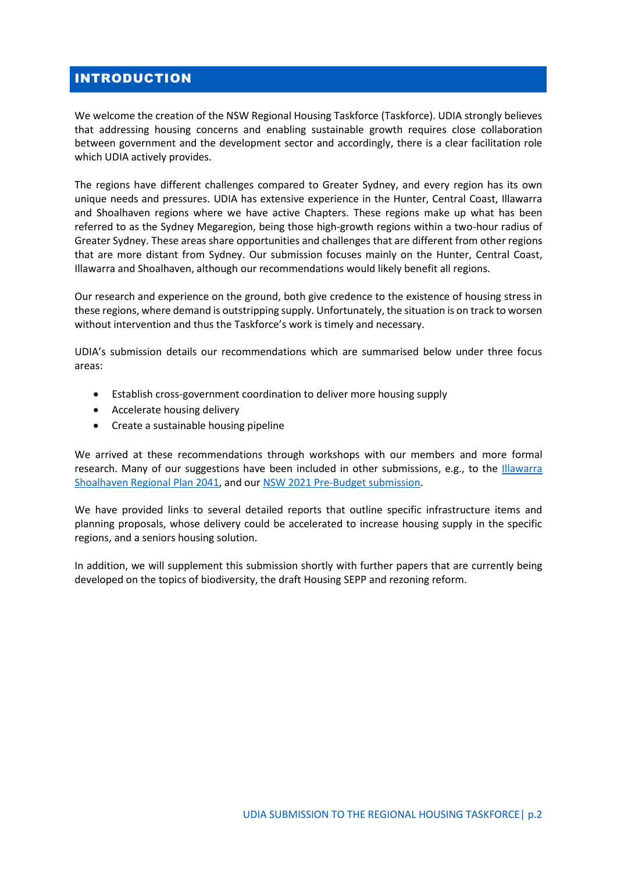## INTRODUCTION

We welcome the creation of the NSW Regional Housing Taskforce (Taskforce). UDIA strongly believes that addressing housing concerns and enabling sustainable growth requires close collaboration between government and the development sector and accordingly, there is a clear facilitation role which UDIA actively provides.

The regions have different challenges compared to Greater Sydney, and every region has its own unique needs and pressures. UDIA has extensive experience in the Hunter, Central Coast, Illawarra and Shoalhaven regions where we have active Chapters. These regions make up what has been referred to as the Sydney Megaregion, being those high-growth regions within a two-hour radius of Greater Sydney. These areas share opportunities and challenges that are different from other regions that are more distant from Sydney. Our submission focuses mainly on the Hunter, Central Coast, Illawarra and Shoalhaven, although our recommendations would likely benefit all regions.

Our research and experience on the ground, both give credence to the existence of housing stress in these regions, where demand is outstripping supply. Unfortunately, the situation is on track to worsen without intervention and thus the Taskforce's work is timely and necessary.

UDIA's submission details our recommendations which are summarised below under three focus areas:

- Establish cross-government coordination to deliver more housing supply
- Accelerate housing delivery
- Create a sustainable housing pipeline

We arrived at these recommendations through workshops with our members and more formal research. Many of our suggestions have been included in other submissions, e.g., to the [Illawarra](https://63lh534dvlp1yhlsm1o3ds2k-wpengine.netdna-ssl.com/wp-content/uploads/171220-UDIA-NSW-Submission-Draft-Illawarra-Shoalhaven-Regional-Plan-2041-and-Draft-SIC.pdf)  [Shoalhaven Regional Plan](https://63lh534dvlp1yhlsm1o3ds2k-wpengine.netdna-ssl.com/wp-content/uploads/171220-UDIA-NSW-Submission-Draft-Illawarra-Shoalhaven-Regional-Plan-2041-and-Draft-SIC.pdf) 2041, and ou[r NSW 2021 Pre-Budget submission.](https://63lh534dvlp1yhlsm1o3ds2k-wpengine.netdna-ssl.com/wp-content/uploads/UDIA-NSW-Pre-Budget-Submission.pdf)

We have provided links to several detailed reports that outline specific infrastructure items and planning proposals, whose delivery could be accelerated to increase housing supply in the specific regions, and a seniors housing solution.

In addition, we will supplement this submission shortly with further papers that are currently being developed on the topics of biodiversity, the draft Housing SEPP and rezoning reform.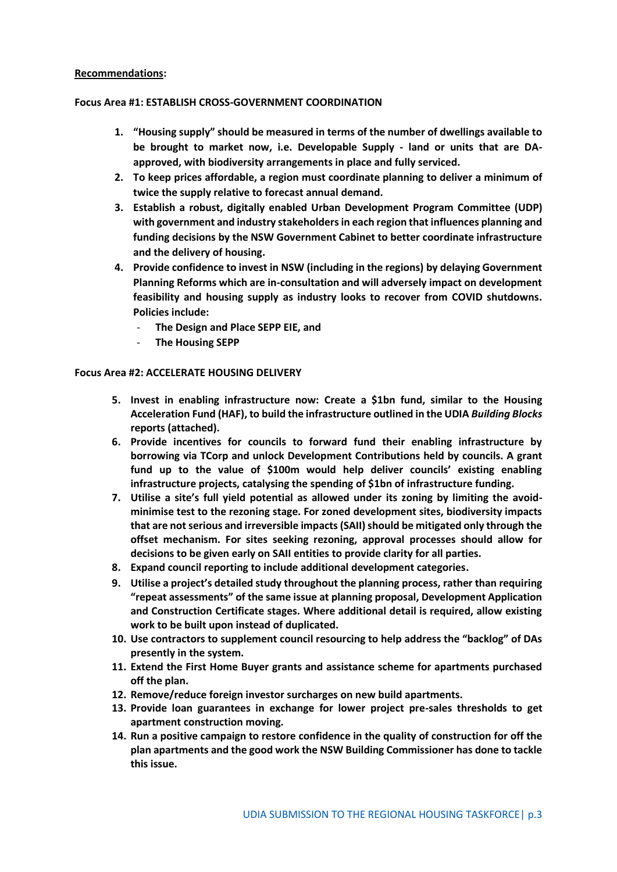#### **Recommendations:**

#### **Focus Area #1: ESTABLISH CROSS-GOVERNMENT COORDINATION**

- **1. "Housing supply" should be measured in terms of the number of dwellings available to be brought to market now, i.e. Developable Supply - land or units that are DAapproved, with biodiversity arrangements in place and fully serviced.**
- **2. To keep prices affordable, a region must coordinate planning to deliver a minimum of twice the supply relative to forecast annual demand.**
- **3. Establish a robust, digitally enabled Urban Development Program Committee (UDP) with government and industry stakeholdersin each region that influences planning and funding decisions by the NSW Government Cabinet to better coordinate infrastructure and the delivery of housing.**
- **4. Provide confidence to invest in NSW (including in the regions) by delaying Government Planning Reforms which are in-consultation and will adversely impact on development feasibility and housing supply as industry looks to recover from COVID shutdowns. Policies include:**
	- **The Design and Place SEPP EIE, and**
	- **The Housing SEPP**

#### **Focus Area #2: ACCELERATE HOUSING DELIVERY**

- **5. Invest in enabling infrastructure now: Create a \$1bn fund, similar to the Housing Acceleration Fund (HAF), to build the infrastructure outlined in the UDIA** *Building Blocks* **reports (attached).**
- **6. Provide incentives for councils to forward fund their enabling infrastructure by borrowing via TCorp and unlock Development Contributions held by councils. A grant fund up to the value of \$100m would help deliver councils' existing enabling infrastructure projects, catalysing the spending of \$1bn of infrastructure funding.**
- **7. Utilise a site's full yield potential as allowed under its zoning by limiting the avoidminimise test to the rezoning stage. For zoned development sites, biodiversity impacts that are not serious and irreversible impacts (SAII) should be mitigated only through the offset mechanism. For sites seeking rezoning, approval processes should allow for decisions to be given early on SAII entities to provide clarity for all parties.**
- **8. Expand council reporting to include additional development categories.**
- **9. Utilise a project's detailed study throughout the planning process, rather than requiring "repeat assessments" of the same issue at planning proposal, Development Application and Construction Certificate stages. Where additional detail is required, allow existing work to be built upon instead of duplicated.**
- **10. Use contractors to supplement council resourcing to help address the "backlog" of DAs presently in the system.**
- **11. Extend the First Home Buyer grants and assistance scheme for apartments purchased off the plan.**
- **12. Remove/reduce foreign investor surcharges on new build apartments.**
- **13. Provide loan guarantees in exchange for lower project pre-sales thresholds to get apartment construction moving.**
- **14. Run a positive campaign to restore confidence in the quality of construction for off the plan apartments and the good work the NSW Building Commissioner has done to tackle this issue.**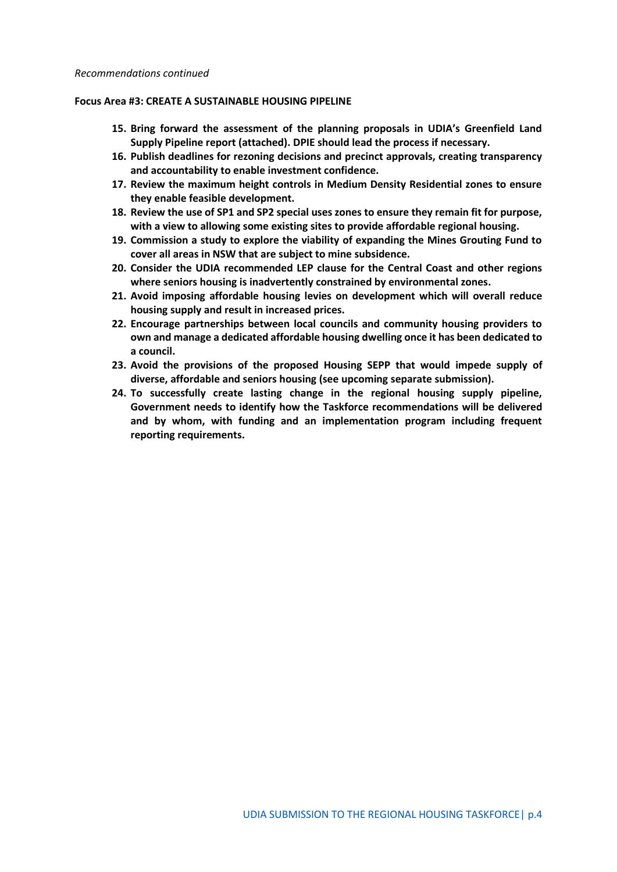#### **Focus Area #3: CREATE A SUSTAINABLE HOUSING PIPELINE**

- **15. Bring forward the assessment of the planning proposals in UDIA's Greenfield Land Supply Pipeline report (attached). DPIE should lead the process if necessary.**
- **16. Publish deadlines for rezoning decisions and precinct approvals, creating transparency and accountability to enable investment confidence.**
- **17. Review the maximum height controls in Medium Density Residential zones to ensure they enable feasible development.**
- **18. Review the use of SP1 and SP2 special uses zones to ensure they remain fit for purpose, with a view to allowing some existing sites to provide affordable regional housing.**
- **19. Commission a study to explore the viability of expanding the Mines Grouting Fund to cover all areas in NSW that are subject to mine subsidence.**
- **20. Consider the UDIA recommended LEP clause for the Central Coast and other regions where seniors housing is inadvertently constrained by environmental zones.**
- **21. Avoid imposing affordable housing levies on development which will overall reduce housing supply and result in increased prices.**
- **22. Encourage partnerships between local councils and community housing providers to own and manage a dedicated affordable housing dwelling once it has been dedicated to a council.**
- **23. Avoid the provisions of the proposed Housing SEPP that would impede supply of diverse, affordable and seniors housing (see upcoming separate submission).**
- **24. To successfully create lasting change in the regional housing supply pipeline, Government needs to identify how the Taskforce recommendations will be delivered and by whom, with funding and an implementation program including frequent reporting requirements.**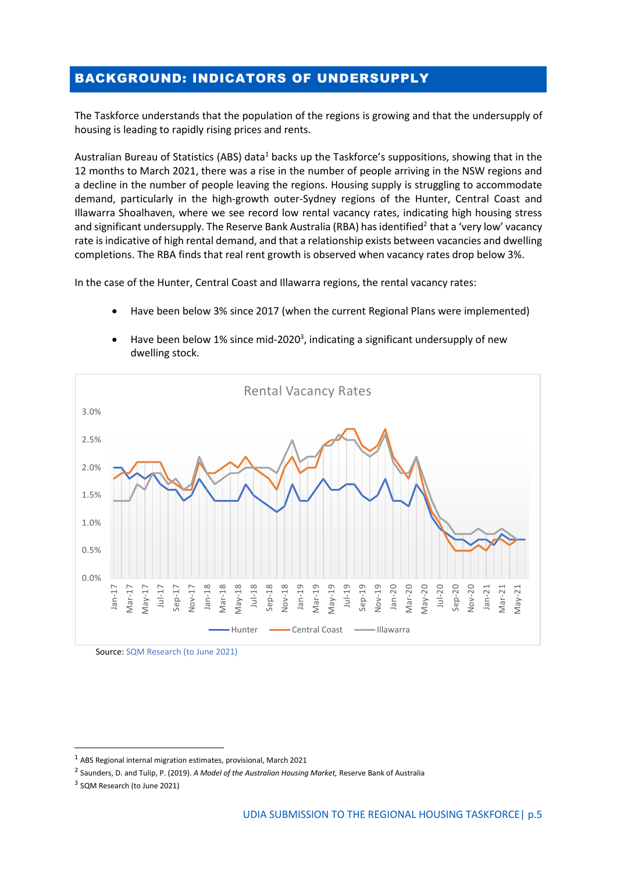## BACKGROUND: INDICATORS OF UNDERSUPPLY

The Taskforce understands that the population of the regions is growing and that the undersupply of housing is leading to rapidly rising prices and rents.

Australian Bureau of Statistics (ABS) data<sup>1</sup> backs up the Taskforce's suppositions, showing that in the 12 months to March 2021, there was a rise in the number of people arriving in the NSW regions and a decline in the number of people leaving the regions. Housing supply is struggling to accommodate demand, particularly in the high-growth outer-Sydney regions of the Hunter, Central Coast and Illawarra Shoalhaven, where we see record low rental vacancy rates, indicating high housing stress and significant undersupply. The Reserve Bank Australia (RBA) has identified<sup>2</sup> that a 'very low' vacancy rate is indicative of high rental demand, and that a relationship exists between vacancies and dwelling completions. The RBA finds that real rent growth is observed when vacancy rates drop below 3%.

In the case of the Hunter, Central Coast and Illawarra regions, the rental vacancy rates:

• Have been below 3% since 2017 (when the current Regional Plans were implemented)



 $\bullet$  Have been below 1% since mid-2020<sup>3</sup>, indicating a significant undersupply of new dwelling stock.

Source: SQM Research (to June 2021)

 $1$  ABS Regional internal migration estimates, provisional, March 2021

<sup>2</sup> Saunders, D. and Tulip, P. (2019). *A Model of the Australian Housing Market,* Reserve Bank of Australia

<sup>&</sup>lt;sup>3</sup> SQM Research (to June 2021)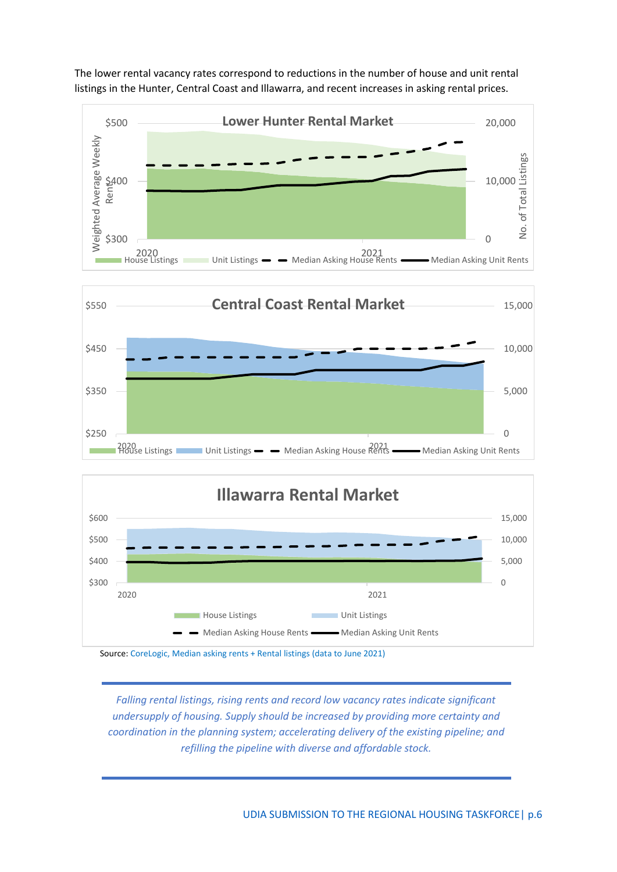

The lower rental vacancy rates correspond to reductions in the number of house and unit rental listings in the Hunter, Central Coast and Illawarra, and recent increases in asking rental prices.



Source: CoreLogic, Median asking rents + Rental listings (data to June 2021)

*Falling rental listings, rising rents and record low vacancy rates indicate significant undersupply of housing. Supply should be increased by providing more certainty and coordination in the planning system; accelerating delivery of the existing pipeline; and refilling the pipeline with diverse and affordable stock.*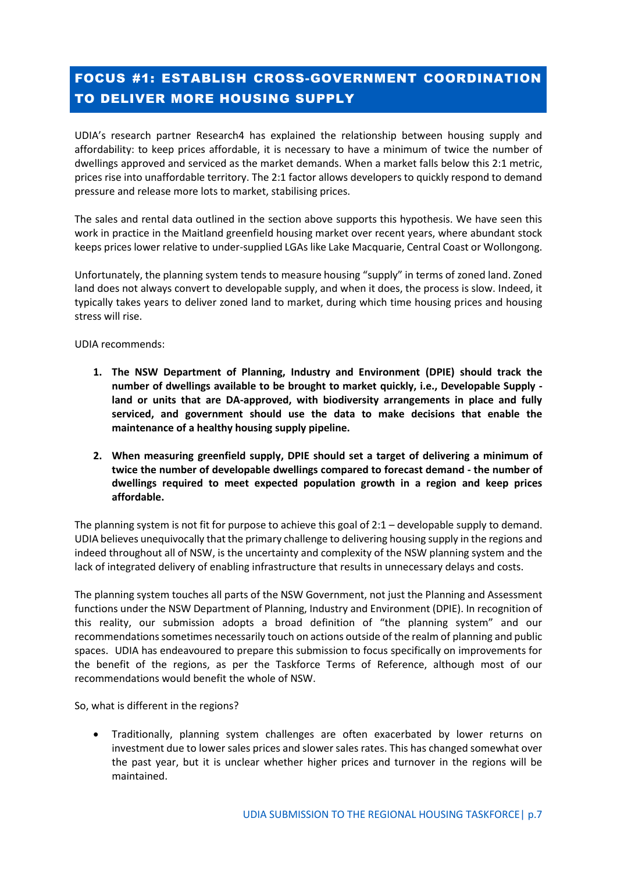# FOCUS #1: ESTABLISH CROSS-GOVERNMENT COORDINATION TO DELIVER MORE HOUSING SUPPLY

UDIA's research partner Research4 has explained the relationship between housing supply and affordability: to keep prices affordable, it is necessary to have a minimum of twice the number of dwellings approved and serviced as the market demands. When a market falls below this 2:1 metric, prices rise into unaffordable territory. The 2:1 factor allows developers to quickly respond to demand pressure and release more lots to market, stabilising prices.

The sales and rental data outlined in the section above supports this hypothesis. We have seen this work in practice in the Maitland greenfield housing market over recent years, where abundant stock keeps prices lower relative to under-supplied LGAs like Lake Macquarie, Central Coast or Wollongong.

Unfortunately, the planning system tends to measure housing "supply" in terms of zoned land. Zoned land does not always convert to developable supply, and when it does, the process is slow. Indeed, it typically takes years to deliver zoned land to market, during which time housing prices and housing stress will rise.

UDIA recommends:

- **1. The NSW Department of Planning, Industry and Environment (DPIE) should track the number of dwellings available to be brought to market quickly, i.e., Developable Supply land or units that are DA-approved, with biodiversity arrangements in place and fully serviced, and government should use the data to make decisions that enable the maintenance of a healthy housing supply pipeline.**
- **2. When measuring greenfield supply, DPIE should set a target of delivering a minimum of twice the number of developable dwellings compared to forecast demand - the number of dwellings required to meet expected population growth in a region and keep prices affordable.**

The planning system is not fit for purpose to achieve this goal of 2:1 – developable supply to demand. UDIA believes unequivocally that the primary challenge to delivering housing supply in the regions and indeed throughout all of NSW, is the uncertainty and complexity of the NSW planning system and the lack of integrated delivery of enabling infrastructure that results in unnecessary delays and costs.

The planning system touches all parts of the NSW Government, not just the Planning and Assessment functions under the NSW Department of Planning, Industry and Environment (DPIE). In recognition of this reality, our submission adopts a broad definition of "the planning system" and our recommendations sometimes necessarily touch on actions outside of the realm of planning and public spaces. UDIA has endeavoured to prepare this submission to focus specifically on improvements for the benefit of the regions, as per the Taskforce Terms of Reference, although most of our recommendations would benefit the whole of NSW.

So, what is different in the regions?

• Traditionally, planning system challenges are often exacerbated by lower returns on investment due to lower sales prices and slower sales rates. This has changed somewhat over the past year, but it is unclear whether higher prices and turnover in the regions will be maintained.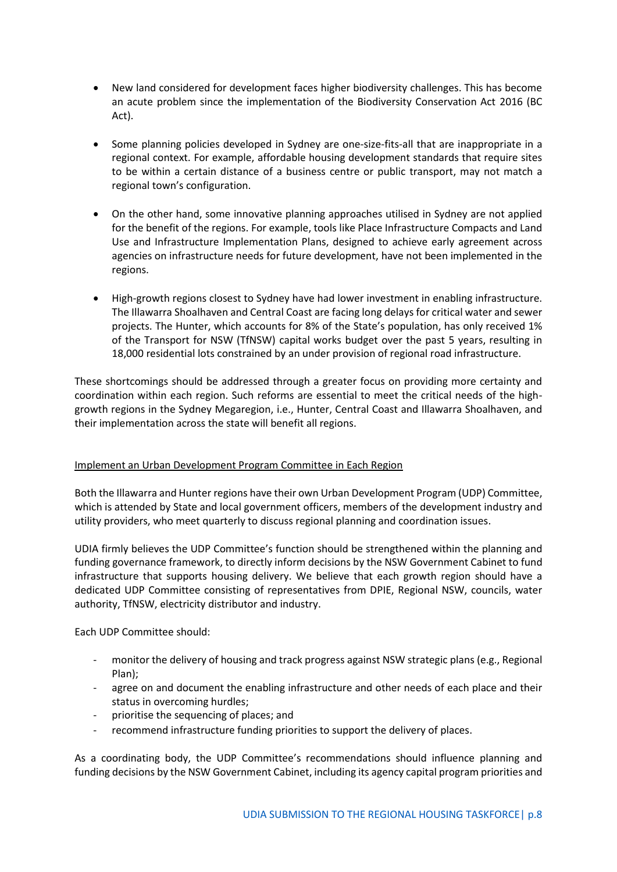- New land considered for development faces higher biodiversity challenges. This has become an acute problem since the implementation of the Biodiversity Conservation Act 2016 (BC Act).
- Some planning policies developed in Sydney are one-size-fits-all that are inappropriate in a regional context. For example, affordable housing development standards that require sites to be within a certain distance of a business centre or public transport, may not match a regional town's configuration.
- On the other hand, some innovative planning approaches utilised in Sydney are not applied for the benefit of the regions. For example, tools like Place Infrastructure Compacts and Land Use and Infrastructure Implementation Plans, designed to achieve early agreement across agencies on infrastructure needs for future development, have not been implemented in the regions.
- High-growth regions closest to Sydney have had lower investment in enabling infrastructure. The Illawarra Shoalhaven and Central Coast are facing long delays for critical water and sewer projects. The Hunter, which accounts for 8% of the State's population, has only received 1% of the Transport for NSW (TfNSW) capital works budget over the past 5 years, resulting in 18,000 residential lots constrained by an under provision of regional road infrastructure.

These shortcomings should be addressed through a greater focus on providing more certainty and coordination within each region. Such reforms are essential to meet the critical needs of the highgrowth regions in the Sydney Megaregion, i.e., Hunter, Central Coast and Illawarra Shoalhaven, and their implementation across the state will benefit all regions.

#### Implement an Urban Development Program Committee in Each Region

Both the Illawarra and Hunter regions have their own Urban Development Program (UDP) Committee, which is attended by State and local government officers, members of the development industry and utility providers, who meet quarterly to discuss regional planning and coordination issues.

UDIA firmly believes the UDP Committee's function should be strengthened within the planning and funding governance framework, to directly inform decisions by the NSW Government Cabinet to fund infrastructure that supports housing delivery. We believe that each growth region should have a dedicated UDP Committee consisting of representatives from DPIE, Regional NSW, councils, water authority, TfNSW, electricity distributor and industry.

Each UDP Committee should:

- monitor the delivery of housing and track progress against NSW strategic plans (e.g., Regional Plan);
- agree on and document the enabling infrastructure and other needs of each place and their status in overcoming hurdles;
- prioritise the sequencing of places; and
- recommend infrastructure funding priorities to support the delivery of places.

As a coordinating body, the UDP Committee's recommendations should influence planning and funding decisions by the NSW Government Cabinet, including its agency capital program priorities and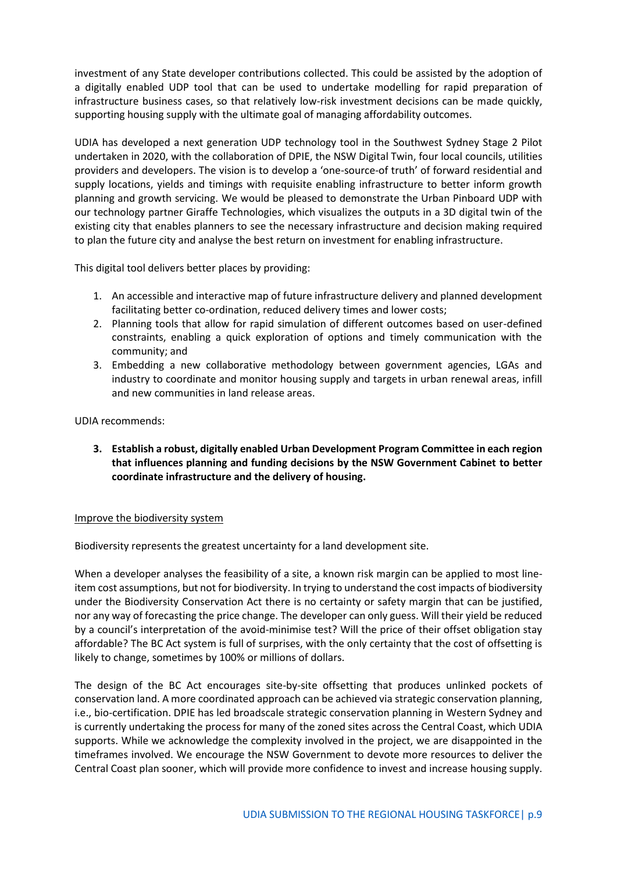investment of any State developer contributions collected. This could be assisted by the adoption of a digitally enabled UDP tool that can be used to undertake modelling for rapid preparation of infrastructure business cases, so that relatively low-risk investment decisions can be made quickly, supporting housing supply with the ultimate goal of managing affordability outcomes.

UDIA has developed a next generation UDP technology tool in the Southwest Sydney Stage 2 Pilot undertaken in 2020, with the collaboration of DPIE, the NSW Digital Twin, four local councils, utilities providers and developers. The vision is to develop a 'one-source-of truth' of forward residential and supply locations, yields and timings with requisite enabling infrastructure to better inform growth planning and growth servicing. We would be pleased to demonstrate the Urban Pinboard UDP with our technology partner Giraffe Technologies, which visualizes the outputs in a 3D digital twin of the existing city that enables planners to see the necessary infrastructure and decision making required to plan the future city and analyse the best return on investment for enabling infrastructure.

This digital tool delivers better places by providing:

- 1. An accessible and interactive map of future infrastructure delivery and planned development facilitating better co-ordination, reduced delivery times and lower costs;
- 2. Planning tools that allow for rapid simulation of different outcomes based on user-defined constraints, enabling a quick exploration of options and timely communication with the community; and
- 3. Embedding a new collaborative methodology between government agencies, LGAs and industry to coordinate and monitor housing supply and targets in urban renewal areas, infill and new communities in land release areas.

UDIA recommends:

**3. Establish a robust, digitally enabled Urban Development Program Committee in each region that influences planning and funding decisions by the NSW Government Cabinet to better coordinate infrastructure and the delivery of housing.**

#### Improve the biodiversity system

Biodiversity represents the greatest uncertainty for a land development site.

When a developer analyses the feasibility of a site, a known risk margin can be applied to most lineitem cost assumptions, but not for biodiversity. In trying to understand the cost impacts of biodiversity under the Biodiversity Conservation Act there is no certainty or safety margin that can be justified, nor any way of forecasting the price change. The developer can only guess. Will their yield be reduced by a council's interpretation of the avoid-minimise test? Will the price of their offset obligation stay affordable? The BC Act system is full of surprises, with the only certainty that the cost of offsetting is likely to change, sometimes by 100% or millions of dollars.

The design of the BC Act encourages site-by-site offsetting that produces unlinked pockets of conservation land. A more coordinated approach can be achieved via strategic conservation planning, i.e., bio-certification. DPIE has led broadscale strategic conservation planning in Western Sydney and is currently undertaking the process for many of the zoned sites across the Central Coast, which UDIA supports. While we acknowledge the complexity involved in the project, we are disappointed in the timeframes involved. We encourage the NSW Government to devote more resources to deliver the Central Coast plan sooner, which will provide more confidence to invest and increase housing supply.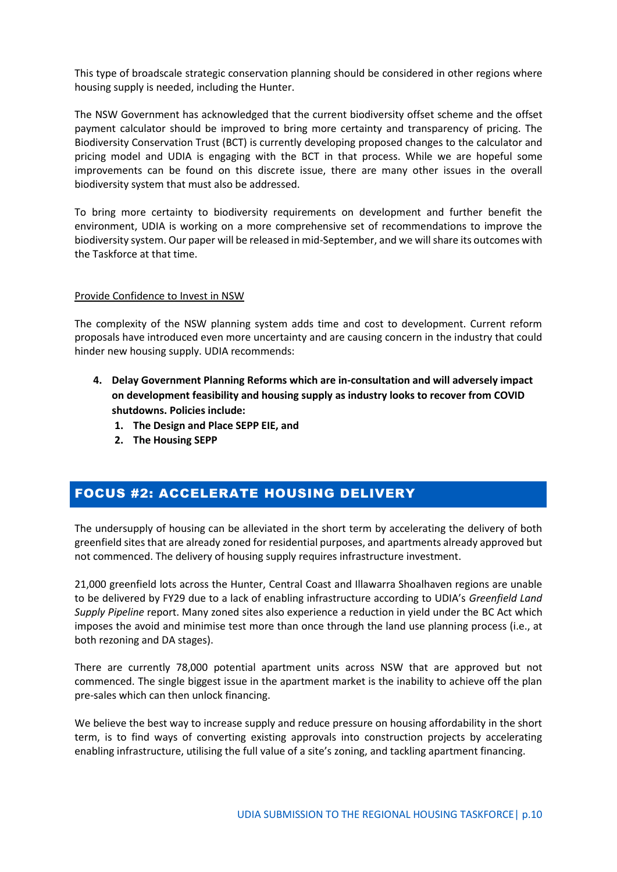This type of broadscale strategic conservation planning should be considered in other regions where housing supply is needed, including the Hunter.

The NSW Government has acknowledged that the current biodiversity offset scheme and the offset payment calculator should be improved to bring more certainty and transparency of pricing. The Biodiversity Conservation Trust (BCT) is currently developing proposed changes to the calculator and pricing model and UDIA is engaging with the BCT in that process. While we are hopeful some improvements can be found on this discrete issue, there are many other issues in the overall biodiversity system that must also be addressed.

To bring more certainty to biodiversity requirements on development and further benefit the environment, UDIA is working on a more comprehensive set of recommendations to improve the biodiversity system. Our paper will be released in mid-September, and we will share its outcomes with the Taskforce at that time.

#### Provide Confidence to Invest in NSW

The complexity of the NSW planning system adds time and cost to development. Current reform proposals have introduced even more uncertainty and are causing concern in the industry that could hinder new housing supply. UDIA recommends:

- **4. Delay Government Planning Reforms which are in-consultation and will adversely impact on development feasibility and housing supply as industry looks to recover from COVID shutdowns. Policies include:**
	- **1. The Design and Place SEPP EIE, and**
	- **2. The Housing SEPP**

## FOCUS #2: ACCELERATE HOUSING DELIVERY

The undersupply of housing can be alleviated in the short term by accelerating the delivery of both greenfield sites that are already zoned for residential purposes, and apartments already approved but not commenced. The delivery of housing supply requires infrastructure investment.

21,000 greenfield lots across the Hunter, Central Coast and Illawarra Shoalhaven regions are unable to be delivered by FY29 due to a lack of enabling infrastructure according to UDIA's *Greenfield Land Supply Pipeline* report. Many zoned sites also experience a reduction in yield under the BC Act which imposes the avoid and minimise test more than once through the land use planning process (i.e., at both rezoning and DA stages).

There are currently 78,000 potential apartment units across NSW that are approved but not commenced. The single biggest issue in the apartment market is the inability to achieve off the plan pre-sales which can then unlock financing.

We believe the best way to increase supply and reduce pressure on housing affordability in the short term, is to find ways of converting existing approvals into construction projects by accelerating enabling infrastructure, utilising the full value of a site's zoning, and tackling apartment financing.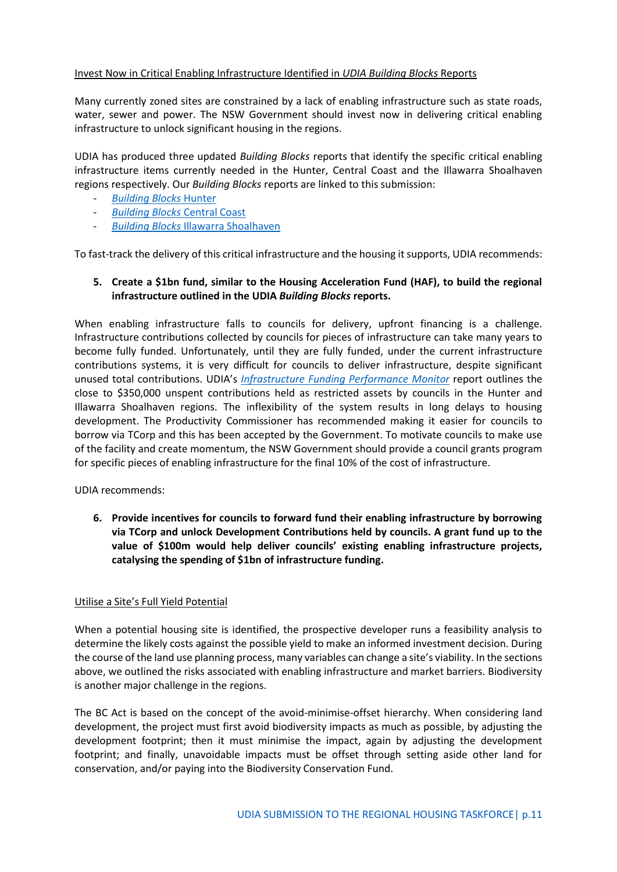#### Invest Now in Critical Enabling Infrastructure Identified in *UDIA Building Blocks* Reports

Many currently zoned sites are constrained by a lack of enabling infrastructure such as state roads, water, sewer and power. The NSW Government should invest now in delivering critical enabling infrastructure to unlock significant housing in the regions.

UDIA has produced three updated *Building Blocks* reports that identify the specific critical enabling infrastructure items currently needed in the Hunter, Central Coast and the Illawarra Shoalhaven regions respectively. Our *Building Blocks* reports are linked to this submission:

- *[Building Blocks](https://63lh534dvlp1yhlsm1o3ds2k-wpengine.netdna-ssl.com/wp-content/uploads/Building-Blocks-2021-Hunter-Final-Version-1-RF.pdf)* Hunter
- *[Building Blocks](https://63lh534dvlp1yhlsm1o3ds2k-wpengine.netdna-ssl.com/wp-content/uploads/Building-Blocks-2021-CC-version-7.4-RF.pdf)* Central Coast
- *Building Blocks* [Illawarra Shoalhaven](https://63lh534dvlp1yhlsm1o3ds2k-wpengine.netdna-ssl.com/wp-content/uploads/Building-Blocks-2021-Illawarra-Shoalhaven-report-FINAL-1.pdf)

To fast-track the delivery of this critical infrastructure and the housing it supports, UDIA recommends:

#### **5. Create a \$1bn fund, similar to the Housing Acceleration Fund (HAF), to build the regional infrastructure outlined in the UDIA** *Building Blocks* **reports.**

When enabling infrastructure falls to councils for delivery, upfront financing is a challenge. Infrastructure contributions collected by councils for pieces of infrastructure can take many years to become fully funded. Unfortunately, until they are fully funded, under the current infrastructure contributions systems, it is very difficult for councils to deliver infrastructure, despite significant unused total contributions. UDIA's *[Infrastructure Funding Performance](https://udiansw.com.au/wp-content/uploads/2021-IFPM-Full-Version.pdf) Monitor* report outlines the close to \$350,000 unspent contributions held as restricted assets by councils in the Hunter and Illawarra Shoalhaven regions. The inflexibility of the system results in long delays to housing development. The Productivity Commissioner has recommended making it easier for councils to borrow via TCorp and this has been accepted by the Government. To motivate councils to make use of the facility and create momentum, the NSW Government should provide a council grants program for specific pieces of enabling infrastructure for the final 10% of the cost of infrastructure.

UDIA recommends:

**6. Provide incentives for councils to forward fund their enabling infrastructure by borrowing via TCorp and unlock Development Contributions held by councils. A grant fund up to the value of \$100m would help deliver councils' existing enabling infrastructure projects, catalysing the spending of \$1bn of infrastructure funding.**

#### Utilise a Site's Full Yield Potential

When a potential housing site is identified, the prospective developer runs a feasibility analysis to determine the likely costs against the possible yield to make an informed investment decision. During the course of the land use planning process, many variables can change a site's viability. In the sections above, we outlined the risks associated with enabling infrastructure and market barriers. Biodiversity is another major challenge in the regions.

The BC Act is based on the concept of the avoid-minimise-offset hierarchy. When considering land development, the project must first avoid biodiversity impacts as much as possible, by adjusting the development footprint; then it must minimise the impact, again by adjusting the development footprint; and finally, unavoidable impacts must be offset through setting aside other land for conservation, and/or paying into the Biodiversity Conservation Fund.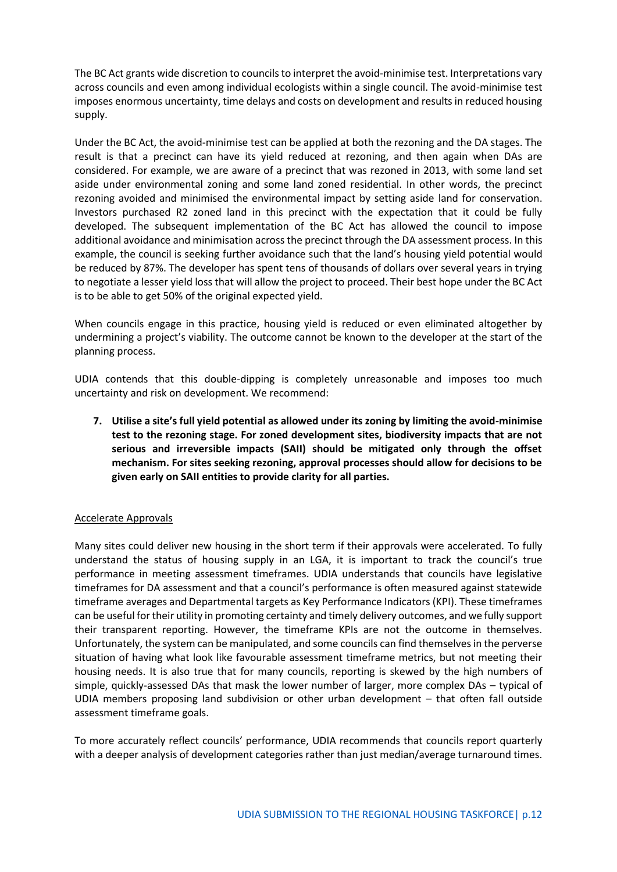The BC Act grants wide discretion to councils to interpret the avoid-minimise test. Interpretations vary across councils and even among individual ecologists within a single council. The avoid-minimise test imposes enormous uncertainty, time delays and costs on development and results in reduced housing supply.

Under the BC Act, the avoid-minimise test can be applied at both the rezoning and the DA stages. The result is that a precinct can have its yield reduced at rezoning, and then again when DAs are considered. For example, we are aware of a precinct that was rezoned in 2013, with some land set aside under environmental zoning and some land zoned residential. In other words, the precinct rezoning avoided and minimised the environmental impact by setting aside land for conservation. Investors purchased R2 zoned land in this precinct with the expectation that it could be fully developed. The subsequent implementation of the BC Act has allowed the council to impose additional avoidance and minimisation across the precinct through the DA assessment process. In this example, the council is seeking further avoidance such that the land's housing yield potential would be reduced by 87%. The developer has spent tens of thousands of dollars over several years in trying to negotiate a lesser yield loss that will allow the project to proceed. Their best hope under the BC Act is to be able to get 50% of the original expected yield.

When councils engage in this practice, housing yield is reduced or even eliminated altogether by undermining a project's viability. The outcome cannot be known to the developer at the start of the planning process.

UDIA contends that this double-dipping is completely unreasonable and imposes too much uncertainty and risk on development. We recommend:

**7. Utilise a site's full yield potential as allowed under its zoning by limiting the avoid-minimise test to the rezoning stage. For zoned development sites, biodiversity impacts that are not serious and irreversible impacts (SAII) should be mitigated only through the offset mechanism. For sites seeking rezoning, approval processes should allow for decisions to be given early on SAII entities to provide clarity for all parties.**

#### Accelerate Approvals

Many sites could deliver new housing in the short term if their approvals were accelerated. To fully understand the status of housing supply in an LGA, it is important to track the council's true performance in meeting assessment timeframes. UDIA understands that councils have legislative timeframes for DA assessment and that a council's performance is often measured against statewide timeframe averages and Departmental targets as Key Performance Indicators (KPI). These timeframes can be useful for their utility in promoting certainty and timely delivery outcomes, and we fully support their transparent reporting. However, the timeframe KPIs are not the outcome in themselves. Unfortunately, the system can be manipulated, and some councils can find themselves in the perverse situation of having what look like favourable assessment timeframe metrics, but not meeting their housing needs. It is also true that for many councils, reporting is skewed by the high numbers of simple, quickly-assessed DAs that mask the lower number of larger, more complex DAs – typical of UDIA members proposing land subdivision or other urban development – that often fall outside assessment timeframe goals.

To more accurately reflect councils' performance, UDIA recommends that councils report quarterly with a deeper analysis of development categories rather than just median/average turnaround times.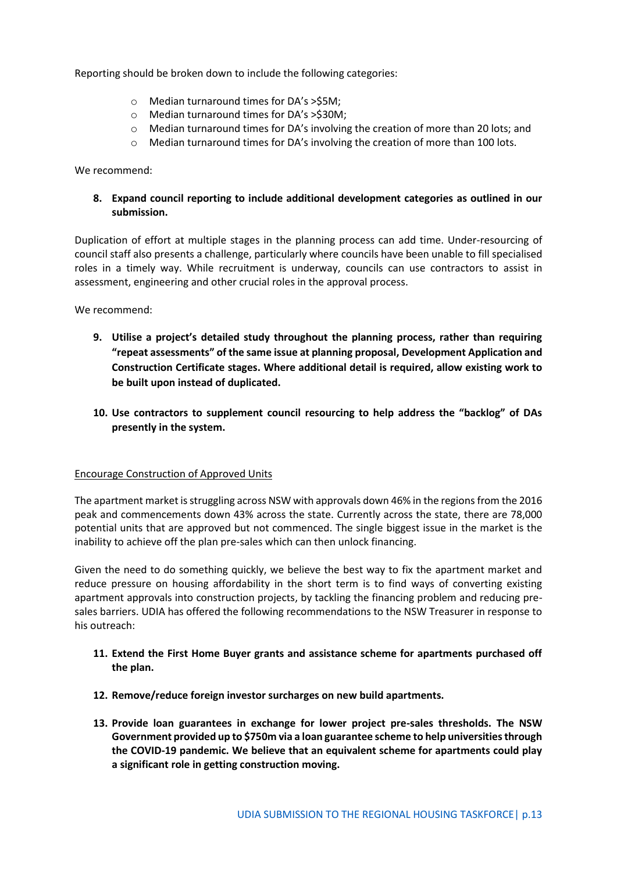Reporting should be broken down to include the following categories:

- o Median turnaround times for DA's >\$5M;
- o Median turnaround times for DA's >\$30M;
- o Median turnaround times for DA's involving the creation of more than 20 lots; and
- o Median turnaround times for DA's involving the creation of more than 100 lots.

We recommend:

**8. Expand council reporting to include additional development categories as outlined in our submission.**

Duplication of effort at multiple stages in the planning process can add time. Under-resourcing of council staff also presents a challenge, particularly where councils have been unable to fill specialised roles in a timely way. While recruitment is underway, councils can use contractors to assist in assessment, engineering and other crucial roles in the approval process.

We recommend:

- **9. Utilise a project's detailed study throughout the planning process, rather than requiring "repeat assessments" of the same issue at planning proposal, Development Application and Construction Certificate stages. Where additional detail is required, allow existing work to be built upon instead of duplicated.**
- **10. Use contractors to supplement council resourcing to help address the "backlog" of DAs presently in the system.**

#### Encourage Construction of Approved Units

The apartment market is struggling across NSW with approvals down 46% in the regions from the 2016 peak and commencements down 43% across the state. Currently across the state, there are 78,000 potential units that are approved but not commenced. The single biggest issue in the market is the inability to achieve off the plan pre-sales which can then unlock financing.

Given the need to do something quickly, we believe the best way to fix the apartment market and reduce pressure on housing affordability in the short term is to find ways of converting existing apartment approvals into construction projects, by tackling the financing problem and reducing presales barriers. UDIA has offered the following recommendations to the NSW Treasurer in response to his outreach:

- **11. Extend the First Home Buyer grants and assistance scheme for apartments purchased off the plan.**
- **12. Remove/reduce foreign investor surcharges on new build apartments.**
- **13. Provide loan guarantees in exchange for lower project pre-sales thresholds. The NSW Government provided up to \$750m via a loan guarantee scheme to help universities through the COVID-19 pandemic. We believe that an equivalent scheme for apartments could play a significant role in getting construction moving.**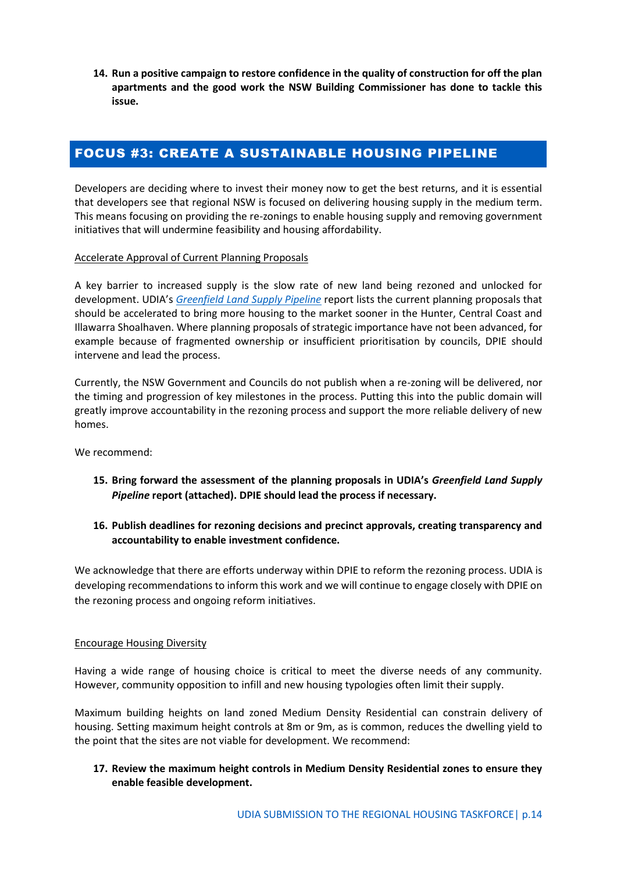**14. Run a positive campaign to restore confidence in the quality of construction for off the plan apartments and the good work the NSW Building Commissioner has done to tackle this issue.**

## FOCUS #3: CREATE A SUSTAINABLE HOUSING PIPELINE

Developers are deciding where to invest their money now to get the best returns, and it is essential that developers see that regional NSW is focused on delivering housing supply in the medium term. This means focusing on providing the re-zonings to enable housing supply and removing government initiatives that will undermine feasibility and housing affordability.

#### Accelerate Approval of Current Planning Proposals

A key barrier to increased supply is the slow rate of new land being rezoned and unlocked for development. UDIA's *[Greenfield Land Supply Pipeline](https://udiansw.com.au/wp-content/uploads/Greenfield-Land-Supply-Pipeline-Report-FINAL-1.pdf)* report lists the current planning proposals that should be accelerated to bring more housing to the market sooner in the Hunter, Central Coast and Illawarra Shoalhaven. Where planning proposals of strategic importance have not been advanced, for example because of fragmented ownership or insufficient prioritisation by councils, DPIE should intervene and lead the process.

Currently, the NSW Government and Councils do not publish when a re-zoning will be delivered, nor the timing and progression of key milestones in the process. Putting this into the public domain will greatly improve accountability in the rezoning process and support the more reliable delivery of new homes.

We recommend:

- **15. Bring forward the assessment of the planning proposals in UDIA's** *Greenfield Land Supply Pipeline* **report (attached). DPIE should lead the process if necessary.**
- **16. Publish deadlines for rezoning decisions and precinct approvals, creating transparency and accountability to enable investment confidence.**

We acknowledge that there are efforts underway within DPIE to reform the rezoning process. UDIA is developing recommendations to inform this work and we will continue to engage closely with DPIE on the rezoning process and ongoing reform initiatives.

#### Encourage Housing Diversity

Having a wide range of housing choice is critical to meet the diverse needs of any community. However, community opposition to infill and new housing typologies often limit their supply.

Maximum building heights on land zoned Medium Density Residential can constrain delivery of housing. Setting maximum height controls at 8m or 9m, as is common, reduces the dwelling yield to the point that the sites are not viable for development. We recommend:

#### **17. Review the maximum height controls in Medium Density Residential zones to ensure they enable feasible development.**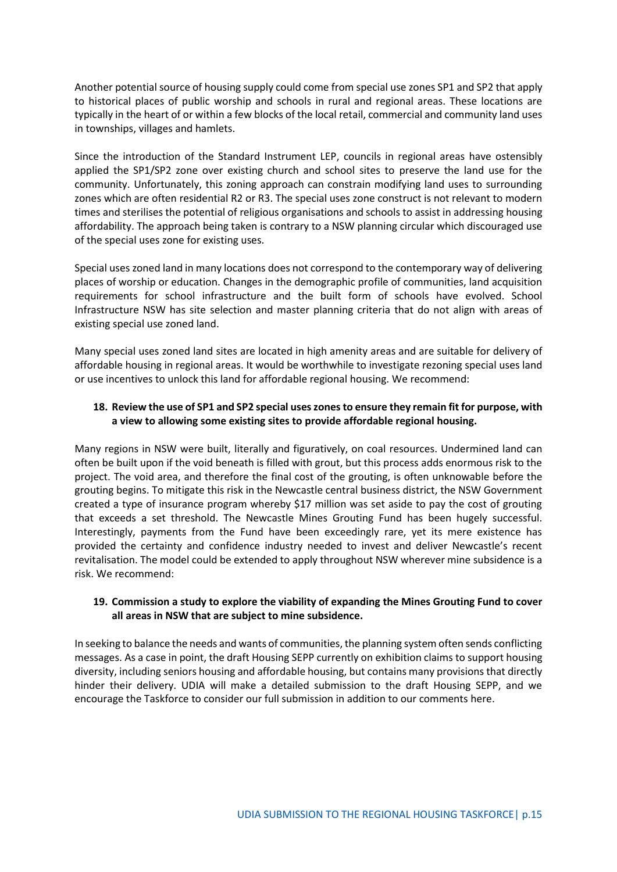Another potential source of housing supply could come from special use zones SP1 and SP2 that apply to historical places of public worship and schools in rural and regional areas. These locations are typically in the heart of or within a few blocks of the local retail, commercial and community land uses in townships, villages and hamlets.

Since the introduction of the Standard Instrument LEP, councils in regional areas have ostensibly applied the SP1/SP2 zone over existing church and school sites to preserve the land use for the community. Unfortunately, this zoning approach can constrain modifying land uses to surrounding zones which are often residential R2 or R3. The special uses zone construct is not relevant to modern times and sterilises the potential of religious organisations and schools to assist in addressing housing affordability. The approach being taken is contrary to a NSW planning circular which discouraged use of the special uses zone for existing uses.

Special uses zoned land in many locations does not correspond to the contemporary way of delivering places of worship or education. Changes in the demographic profile of communities, land acquisition requirements for school infrastructure and the built form of schools have evolved. School Infrastructure NSW has site selection and master planning criteria that do not align with areas of existing special use zoned land.

Many special uses zoned land sites are located in high amenity areas and are suitable for delivery of affordable housing in regional areas. It would be worthwhile to investigate rezoning special uses land or use incentives to unlock this land for affordable regional housing. We recommend:

#### **18. Review the use of SP1 and SP2 special uses zonesto ensure they remain fit for purpose, with a view to allowing some existing sites to provide affordable regional housing.**

Many regions in NSW were built, literally and figuratively, on coal resources. Undermined land can often be built upon if the void beneath is filled with grout, but this process adds enormous risk to the project. The void area, and therefore the final cost of the grouting, is often unknowable before the grouting begins. To mitigate this risk in the Newcastle central business district, the NSW Government created a type of insurance program whereby \$17 million was set aside to pay the cost of grouting that exceeds a set threshold. The Newcastle Mines Grouting Fund has been hugely successful. Interestingly, payments from the Fund have been exceedingly rare, yet its mere existence has provided the certainty and confidence industry needed to invest and deliver Newcastle's recent revitalisation. The model could be extended to apply throughout NSW wherever mine subsidence is a risk. We recommend:

#### **19. Commission a study to explore the viability of expanding the Mines Grouting Fund to cover all areas in NSW that are subject to mine subsidence.**

In seeking to balance the needs and wants of communities, the planning system often sends conflicting messages. As a case in point, the draft Housing SEPP currently on exhibition claims to support housing diversity, including seniors housing and affordable housing, but contains many provisions that directly hinder their delivery. UDIA will make a detailed submission to the draft Housing SEPP, and we encourage the Taskforce to consider our full submission in addition to our comments here.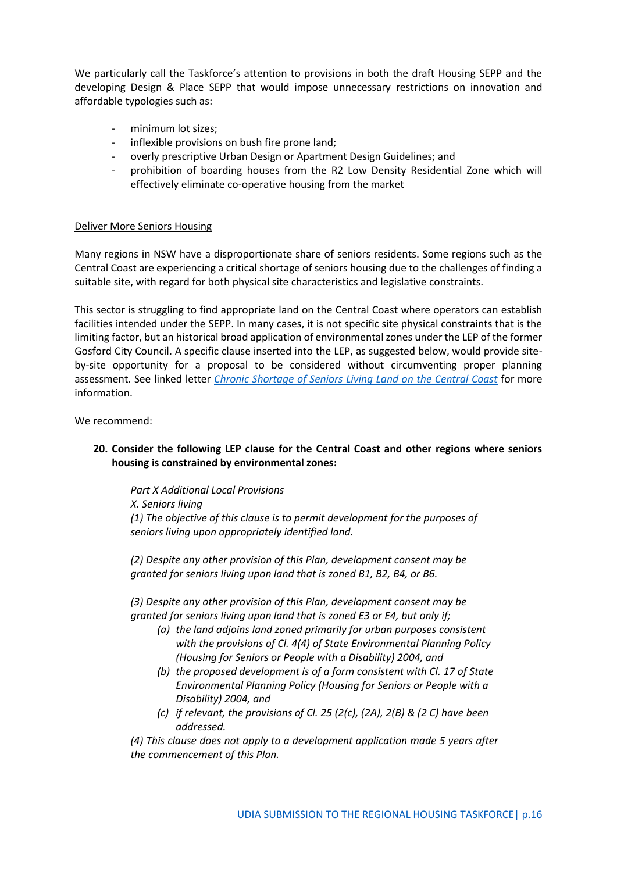We particularly call the Taskforce's attention to provisions in both the draft Housing SEPP and the developing Design & Place SEPP that would impose unnecessary restrictions on innovation and affordable typologies such as:

- minimum lot sizes;
- inflexible provisions on bush fire prone land;
- overly prescriptive Urban Design or Apartment Design Guidelines; and
- prohibition of boarding houses from the R2 Low Density Residential Zone which will effectively eliminate co-operative housing from the market

#### Deliver More Seniors Housing

Many regions in NSW have a disproportionate share of seniors residents. Some regions such as the Central Coast are experiencing a critical shortage of seniors housing due to the challenges of finding a suitable site, with regard for both physical site characteristics and legislative constraints.

This sector is struggling to find appropriate land on the Central Coast where operators can establish facilities intended under the SEPP. In many cases, it is not specific site physical constraints that is the limiting factor, but an historical broad application of environmental zones under the LEP of the former Gosford City Council. A specific clause inserted into the LEP, as suggested below, would provide siteby-site opportunity for a proposal to be considered without circumventing proper planning assessment. See linked letter *[Chronic Shortage of Seniors Living Land on the Central Coast](https://udiansw.com.au/wp-content/uploads/UDIA-letter-to-DPE-CC-seniors-living-12.18.pdf)* for more information.

We recommend:

#### **20. Consider the following LEP clause for the Central Coast and other regions where seniors housing is constrained by environmental zones:**

*Part X Additional Local Provisions X. Seniors living (1) The objective of this clause is to permit development for the purposes of seniors living upon appropriately identified land.* 

*(2) Despite any other provision of this Plan, development consent may be granted for seniors living upon land that is zoned B1, B2, B4, or B6.* 

*(3) Despite any other provision of this Plan, development consent may be granted for seniors living upon land that is zoned E3 or E4, but only if;* 

- *(a) the land adjoins land zoned primarily for urban purposes consistent with the provisions of Cl. 4(4) of State Environmental Planning Policy (Housing for Seniors or People with a Disability) 2004, and*
- *(b) the proposed development is of a form consistent with Cl. 17 of State Environmental Planning Policy (Housing for Seniors or People with a Disability) 2004, and*
- *(c) if relevant, the provisions of Cl. 25 (2(c), (2A), 2(B) & (2 C) have been addressed.*

*(4) This clause does not apply to a development application made 5 years after the commencement of this Plan.*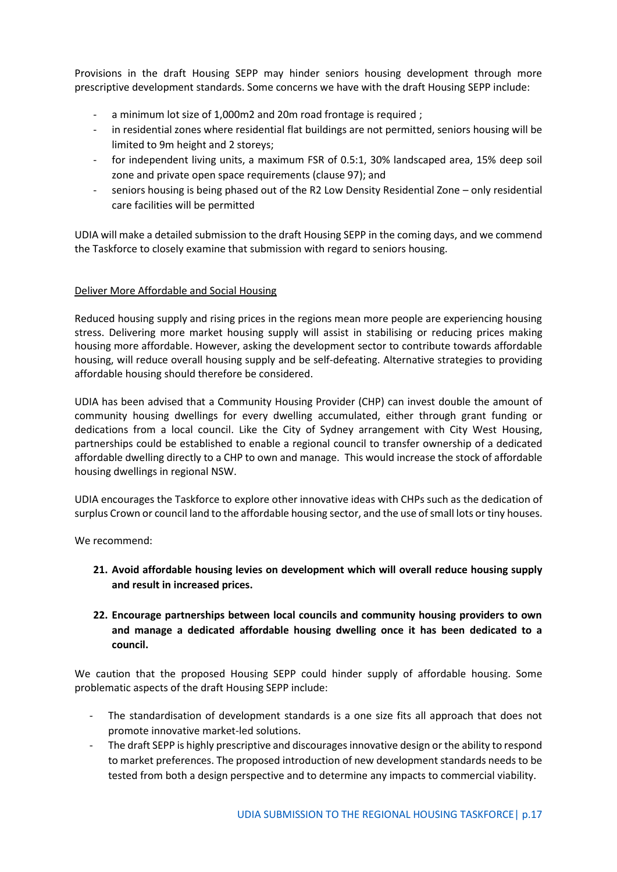Provisions in the draft Housing SEPP may hinder seniors housing development through more prescriptive development standards. Some concerns we have with the draft Housing SEPP include:

- a minimum lot size of 1,000m2 and 20m road frontage is required;
- in residential zones where residential flat buildings are not permitted, seniors housing will be limited to 9m height and 2 storeys;
- for independent living units, a maximum FSR of 0.5:1, 30% landscaped area, 15% deep soil zone and private open space requirements (clause 97); and
- seniors housing is being phased out of the R2 Low Density Residential Zone only residential care facilities will be permitted

UDIA will make a detailed submission to the draft Housing SEPP in the coming days, and we commend the Taskforce to closely examine that submission with regard to seniors housing.

#### Deliver More Affordable and Social Housing

Reduced housing supply and rising prices in the regions mean more people are experiencing housing stress. Delivering more market housing supply will assist in stabilising or reducing prices making housing more affordable. However, asking the development sector to contribute towards affordable housing, will reduce overall housing supply and be self-defeating. Alternative strategies to providing affordable housing should therefore be considered.

UDIA has been advised that a Community Housing Provider (CHP) can invest double the amount of community housing dwellings for every dwelling accumulated, either through grant funding or dedications from a local council. Like the City of Sydney arrangement with City West Housing, partnerships could be established to enable a regional council to transfer ownership of a dedicated affordable dwelling directly to a CHP to own and manage. This would increase the stock of affordable housing dwellings in regional NSW.

UDIA encourages the Taskforce to explore other innovative ideas with CHPs such as the dedication of surplus Crown or council land to the affordable housing sector, and the use of small lots or tiny houses.

We recommend:

- **21. Avoid affordable housing levies on development which will overall reduce housing supply and result in increased prices.**
- **22. Encourage partnerships between local councils and community housing providers to own and manage a dedicated affordable housing dwelling once it has been dedicated to a council.**

We caution that the proposed Housing SEPP could hinder supply of affordable housing. Some problematic aspects of the draft Housing SEPP include:

- The standardisation of development standards is a one size fits all approach that does not promote innovative market-led solutions.
- The draft SEPP is highly prescriptive and discourages innovative design or the ability to respond to market preferences. The proposed introduction of new development standards needs to be tested from both a design perspective and to determine any impacts to commercial viability.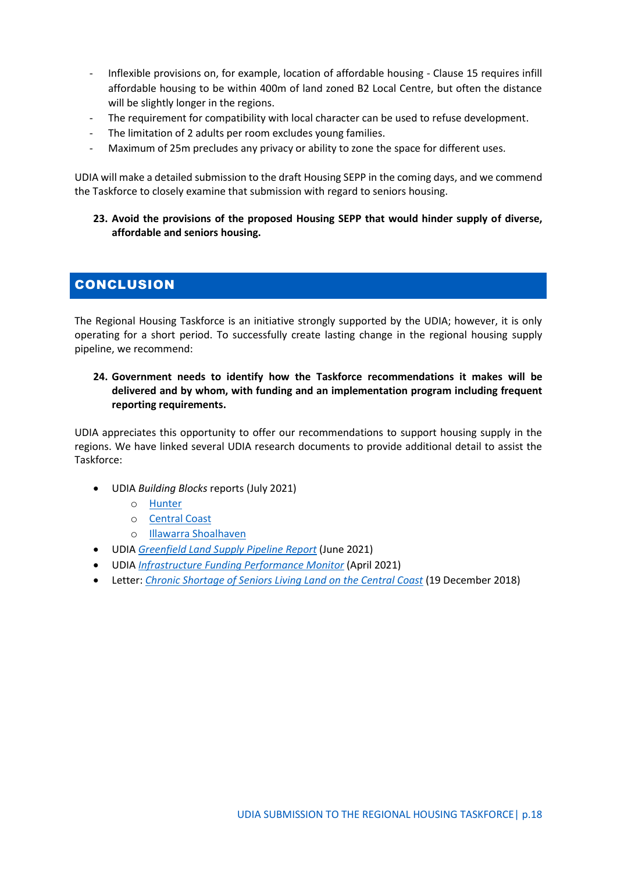- Inflexible provisions on, for example, location of affordable housing Clause 15 requires infill affordable housing to be within 400m of land zoned B2 Local Centre, but often the distance will be slightly longer in the regions.
- The requirement for compatibility with local character can be used to refuse development.
- The limitation of 2 adults per room excludes young families.
- Maximum of 25m precludes any privacy or ability to zone the space for different uses.

UDIA will make a detailed submission to the draft Housing SEPP in the coming days, and we commend the Taskforce to closely examine that submission with regard to seniors housing.

**23. Avoid the provisions of the proposed Housing SEPP that would hinder supply of diverse, affordable and seniors housing.**

## **CONCLUSION**

The Regional Housing Taskforce is an initiative strongly supported by the UDIA; however, it is only operating for a short period. To successfully create lasting change in the regional housing supply pipeline, we recommend:

**24. Government needs to identify how the Taskforce recommendations it makes will be delivered and by whom, with funding and an implementation program including frequent reporting requirements.**

UDIA appreciates this opportunity to offer our recommendations to support housing supply in the regions. We have linked several UDIA research documents to provide additional detail to assist the Taskforce:

- UDIA *Building Blocks* reports (July 2021)
	- o [Hunter](https://63lh534dvlp1yhlsm1o3ds2k-wpengine.netdna-ssl.com/wp-content/uploads/Building-Blocks-2021-Hunter-Final-Version-1-RF.pdf)
	- o [Central Coast](https://63lh534dvlp1yhlsm1o3ds2k-wpengine.netdna-ssl.com/wp-content/uploads/Building-Blocks-2021-CC-version-7.4-RF.pdf)
	- o [Illawarra Shoalhaven](https://63lh534dvlp1yhlsm1o3ds2k-wpengine.netdna-ssl.com/wp-content/uploads/Building-Blocks-2021-Illawarra-Shoalhaven-report-FINAL-1.pdf)
- UDIA *[Greenfield Land Supply Pipeline Report](https://udiansw.com.au/wp-content/uploads/Greenfield-Land-Supply-Pipeline-Report-FINAL-1.pdf)* (June 2021)
- UDIA *[Infrastructure Funding Performance Monitor](https://udiansw.com.au/wp-content/uploads/2021-IFPM-Full-Version.pdf)* (April 2021)
- Letter: *[Chronic Shortage of Seniors Living Land on the Central Coast](https://udiansw.com.au/wp-content/uploads/UDIA-letter-to-DPE-CC-seniors-living-12.18.pdf)* (19 December 2018)